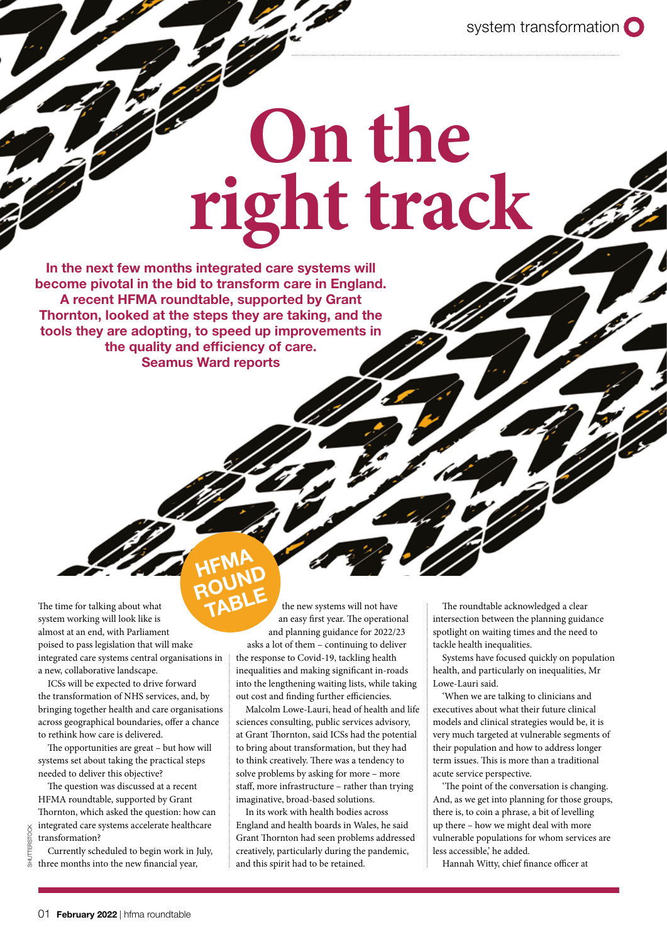system transformation O

# **On the right track**

In the next few months integrated care systems will become pivotal in the bid to transform care in England. A recent HFMA roundtable, supported by Grant Thornton, looked at the steps they are taking, and the tools they are adopting, to speed up improvements in the quality and efficiency of care. Seamus Ward reports

The time for talking about what system working will look like is almost at an end, with Parliament poised to pass legislation that will make integrated care systems central organisations in a new, collaborative landscape. TABLE

ICSs will be expected to drive forward the transformation of NHS services, and, by bringing together health and care organisations across geographical boundaries, offer a chance to rethink how care is delivered.

The opportunities are great – but how will systems set about taking the practical steps needed to deliver this objective?

The question was discussed at a recent HFMA roundtable, supported by Grant Thornton, which asked the question: how can integrated care systems accelerate healthcare transformation?

Currently scheduled to begin work in July, three months into the new financial year,

# ROUND<br>ROUND

**HFMA** 

the new systems will not have an easy first year. The operational and planning guidance for 2022/23 asks a lot of them – continuing to deliver the response to Covid-19, tackling health inequalities and making significant in-roads into the lengthening waiting lists, while taking out cost and finding further efficiencies.

Malcolm Lowe-Lauri, head of health and life sciences consulting, public services advisory, at Grant Thornton, said ICSs had the potential to bring about transformation, but they had to think creatively. There was a tendency to solve problems by asking for more – more staff, more infrastructure – rather than trying imaginative, broad-based solutions.

In its work with health bodies across England and health boards in Wales, he said Grant Thornton had seen problems addressed creatively, particularly during the pandemic, and this spirit had to be retained.

The roundtable acknowledged a clear intersection between the planning guidance spotlight on waiting times and the need to tackle health inequalities.

Systems have focused quickly on population health, and particularly on inequalities, Mr Lowe-Lauri said.

'When we are talking to clinicians and executives about what their future clinical models and clinical strategies would be, it is very much targeted at vulnerable segments of their population and how to address longer term issues. This is more than a traditional acute service perspective.

'The point of the conversation is changing. And, as we get into planning for those groups, there is, to coin a phrase, a bit of levelling up there – how we might deal with more vulnerable populations for whom services are less accessible,' he added.

Hannah Witty, chief finance officer at

SHUTTERSTOCK

SHUTTERSTOCK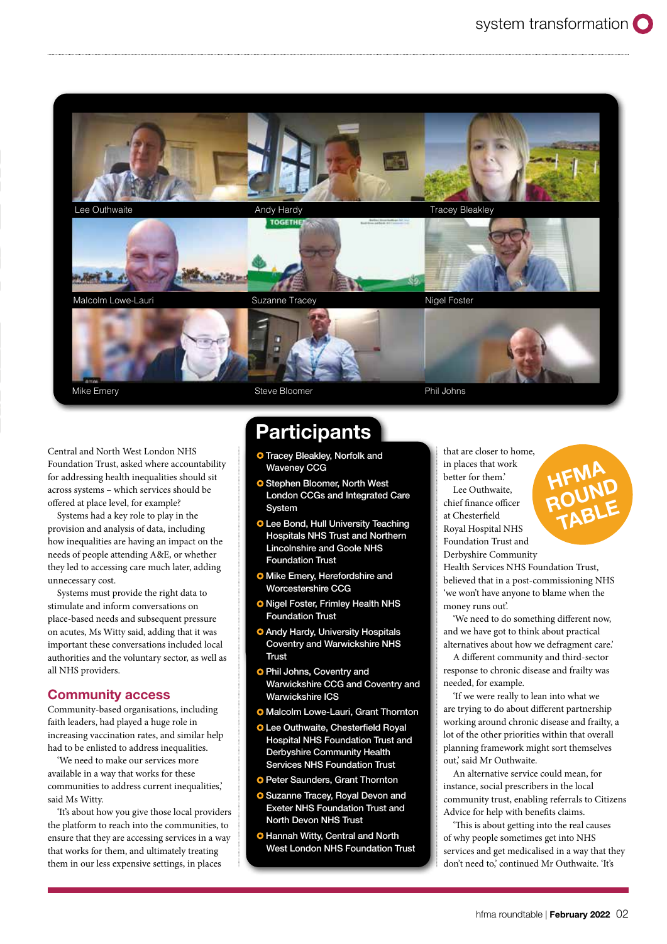

Central and North West London NHS Foundation Trust, asked where accountability for addressing health inequalities should sit across systems – which services should be offered at place level, for example?

Systems had a key role to play in the provision and analysis of data, including how inequalities are having an impact on the needs of people attending A&E, or whether they led to accessing care much later, adding unnecessary cost.

Systems must provide the right data to stimulate and inform conversations on place-based needs and subsequent pressure on acutes, Ms Witty said, adding that it was important these conversations included local authorities and the voluntary sector, as well as all NHS providers.

#### Community access

Community-based organisations, including faith leaders, had played a huge role in increasing vaccination rates, and similar help had to be enlisted to address inequalities.

'We need to make our services more available in a way that works for these communities to address current inequalities,' said Ms Witty.

'It's about how you give those local providers the platform to reach into the communities, to ensure that they are accessing services in a way that works for them, and ultimately treating them in our less expensive settings, in places

## **Participants**

- **O** Tracey Bleakley, Norfolk and Waveney CCG
- **O** Stephen Bloomer, North West London CCGs and Integrated Care System
- **O** Lee Bond, Hull University Teaching Hospitals NHS Trust and Northern Lincolnshire and Goole NHS Foundation Trust
- **O** Mike Emery, Herefordshire and Worcestershire CCG
- **O** Nigel Foster, Frimley Health NHS Foundation Trust
- **O** Andy Hardy, University Hospitals Coventry and Warwickshire NHS Trust
- **O** Phil Johns, Coventry and Warwickshire CCG and Coventry and Warwickshire ICS
- **O** Malcolm Lowe-Lauri, Grant Thornton
- **O** Lee Outhwaite, Chesterfield Royal Hospital NHS Foundation Trust and Derbyshire Community Health Services NHS Foundation Trust
- **O** Peter Saunders, Grant Thornton
- **O** Suzanne Tracey, Royal Devon and Exeter NHS Foundation Trust and North Devon NHS Trust
- **O** Hannah Witty, Central and North West London NHS Foundation Trust

that are closer to home, in places that work better for them.'

Lee Outhwaite, chief finance officer at Chesterfield Royal Hospital NHS

Foundation Trust and Derbyshire Community TABLE

Health Services NHS Foundation Trust, believed that in a post-commissioning NHS 'we won't have anyone to blame when the money runs out'.

HFMA ROUND<br>ROUND

'We need to do something different now, and we have got to think about practical alternatives about how we defragment care.'

A different community and third-sector response to chronic disease and frailty was needed, for example.

'If we were really to lean into what we are trying to do about different partnership working around chronic disease and frailty, a lot of the other priorities within that overall planning framework might sort themselves out,' said Mr Outhwaite.

An alternative service could mean, for instance, social prescribers in the local community trust, enabling referrals to Citizens Advice for help with benefits claims.

'This is about getting into the real causes of why people sometimes get into NHS services and get medicalised in a way that they don't need to,' continued Mr Outhwaite. 'It's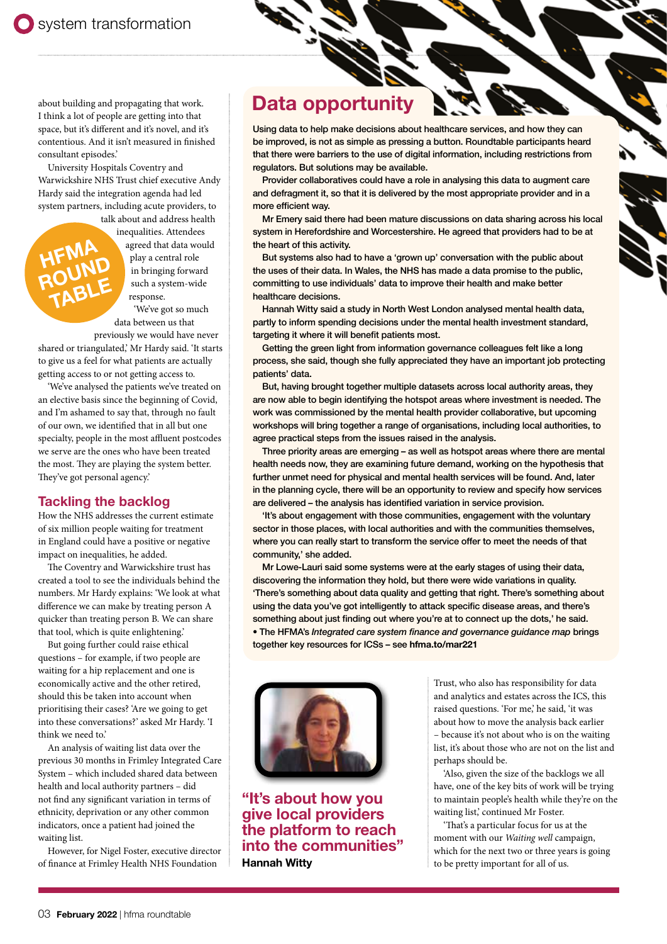about building and propagating that work. I think a lot of people are getting into that space, but it's different and it's novel, and it's contentious. And it isn't measured in finished consultant episodes.'

University Hospitals Coventry and Warwickshire NHS Trust chief executive Andy Hardy said the integration agenda had led system partners, including acute providers, to

**HFMA** 

talk about and address health inequalities. Attendees agreed that data would play a central role in bringing forward such a system-wide response. ROUND<br>ROUND TABLE

'We've got so much data between us that previously we would have never

shared or triangulated,' Mr Hardy said. 'It starts to give us a feel for what patients are actually getting access to or not getting access to.

'We've analysed the patients we've treated on an elective basis since the beginning of Covid, and I'm ashamed to say that, through no fault of our own, we identified that in all but one specialty, people in the most affluent postcodes we serve are the ones who have been treated the most. They are playing the system better. They've got personal agency.'

#### Tackling the backlog

How the NHS addresses the current estimate of six million people waiting for treatment in England could have a positive or negative impact on inequalities, he added.

The Coventry and Warwickshire trust has created a tool to see the individuals behind the numbers. Mr Hardy explains: 'We look at what difference we can make by treating person A quicker than treating person B. We can share that tool, which is quite enlightening.'

But going further could raise ethical questions – for example, if two people are waiting for a hip replacement and one is economically active and the other retired, should this be taken into account when prioritising their cases? 'Are we going to get into these conversations?' asked Mr Hardy. 'I think we need to.'

An analysis of waiting list data over the previous 30 months in Frimley Integrated Care System – which included shared data between health and local authority partners – did not find any significant variation in terms of ethnicity, deprivation or any other common indicators, once a patient had joined the waiting list.

However, for Nigel Foster, executive director of finance at Frimley Health NHS Foundation

### Data opportunity

Using data to help make decisions about healthcare services, and how they can be improved, is not as simple as pressing a button. Roundtable participants heard that there were barriers to the use of digital information, including restrictions from regulators. But solutions may be available.

Provider collaboratives could have a role in analysing this data to augment care and defragment it, so that it is delivered by the most appropriate provider and in a more efficient way.

Mr Emery said there had been mature discussions on data sharing across his local system in Herefordshire and Worcestershire. He agreed that providers had to be at the heart of this activity.

But systems also had to have a 'grown up' conversation with the public about the uses of their data. In Wales, the NHS has made a data promise to the public, committing to use individuals' data to improve their health and make better healthcare decisions.

Hannah Witty said a study in North West London analysed mental health data, partly to inform spending decisions under the mental health investment standard, targeting it where it will benefit patients most.

Getting the green light from information governance colleagues felt like a long process, she said, though she fully appreciated they have an important job protecting patients' data.

But, having brought together multiple datasets across local authority areas, they are now able to begin identifying the hotspot areas where investment is needed. The work was commissioned by the mental health provider collaborative, but upcoming workshops will bring together a range of organisations, including local authorities, to agree practical steps from the issues raised in the analysis.

Three priority areas are emerging – as well as hotspot areas where there are mental health needs now, they are examining future demand, working on the hypothesis that further unmet need for physical and mental health services will be found. And, later in the planning cycle, there will be an opportunity to review and specify how services are delivered – the analysis has identified variation in service provision.

'It's about engagement with those communities, engagement with the voluntary sector in those places, with local authorities and with the communities themselves, where you can really start to transform the service offer to meet the needs of that community,' she added.

Mr Lowe-Lauri said some systems were at the early stages of using their data, discovering the information they hold, but there were wide variations in quality. 'There's something about data quality and getting that right. There's something about using the data you've got intelligently to attack specific disease areas, and there's something about just finding out where you're at to connect up the dots,' he said. • The HFMA's *Integrated care system finance and governance guidance map* brings together key resources for ICSs – see **[hfma.to/mar221](https://www.hfma.org.uk/publications/details/integrated-care-system-finance-and-governance-guidance-map)**



"It's about how you give local providers the platform to reach into the communities" Hannah Witty

Trust, who also has responsibility for data and analytics and estates across the ICS, this raised questions. 'For me,' he said, 'it was about how to move the analysis back earlier – because it's not about who is on the waiting list, it's about those who are not on the list and perhaps should be.

'Also, given the size of the backlogs we all have, one of the key bits of work will be trying to maintain people's health while they're on the waiting list,' continued Mr Foster.

'That's a particular focus for us at the moment with our *Waiting well* campaign, which for the next two or three years is going to be pretty important for all of us.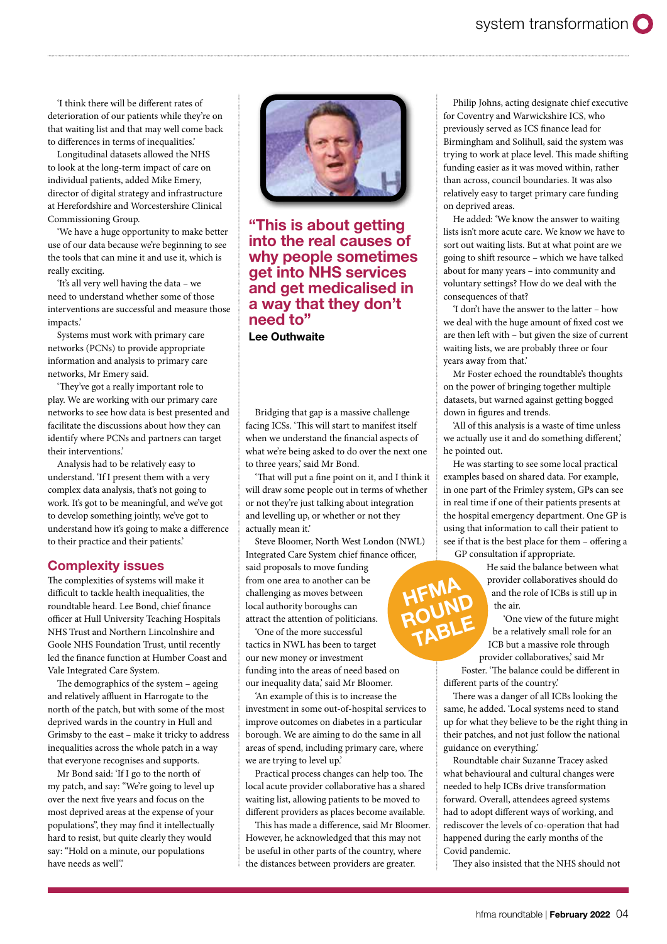'I think there will be different rates of deterioration of our patients while they're on that waiting list and that may well come back to differences in terms of inequalities.'

Longitudinal datasets allowed the NHS to look at the long-term impact of care on individual patients, added Mike Emery, director of digital strategy and infrastructure at Herefordshire and Worcestershire Clinical Commissioning Group.

'We have a huge opportunity to make better use of our data because we're beginning to see the tools that can mine it and use it, which is really exciting.

'It's all very well having the data – we need to understand whether some of those interventions are successful and measure those impacts.'

Systems must work with primary care networks (PCNs) to provide appropriate information and analysis to primary care networks, Mr Emery said.

'They've got a really important role to play. We are working with our primary care networks to see how data is best presented and facilitate the discussions about how they can identify where PCNs and partners can target their interventions.'

Analysis had to be relatively easy to understand. 'If I present them with a very complex data analysis, that's not going to work. It's got to be meaningful, and we've got to develop something jointly, we've got to understand how it's going to make a difference to their practice and their patients.'

#### Complexity issues

The complexities of systems will make it difficult to tackle health inequalities, the roundtable heard. Lee Bond, chief finance officer at Hull University Teaching Hospitals NHS Trust and Northern Lincolnshire and Goole NHS Foundation Trust, until recently led the finance function at Humber Coast and Vale Integrated Care System.

The demographics of the system – ageing and relatively affluent in Harrogate to the north of the patch, but with some of the most deprived wards in the country in Hull and Grimsby to the east – make it tricky to address inequalities across the whole patch in a way that everyone recognises and supports.

Mr Bond said: 'If I go to the north of my patch, and say: "We're going to level up over the next five years and focus on the most deprived areas at the expense of your populations", they may find it intellectually hard to resist, but quite clearly they would say: "Hold on a minute, our populations have needs as well".



"This is about getting into the real causes of why people sometimes get into NHS services and get medicalised in a way that they don't need to"

Lee Outhwaite

Bridging that gap is a massive challenge facing ICSs. 'This will start to manifest itself when we understand the financial aspects of what we're being asked to do over the next one to three years,' said Mr Bond.

'That will put a fine point on it, and I think it will draw some people out in terms of whether or not they're just talking about integration and levelling up, or whether or not they actually mean it.'

Steve Bloomer, North West London (NWL) Integrated Care System chief finance officer,

> **HFMA** ROUND<br>ROUND TABLE

said proposals to move funding from one area to another can be challenging as moves between local authority boroughs can attract the attention of politicians.

'One of the more successful tactics in NWL has been to target our new money or investment funding into the areas of need based on our inequality data,' said Mr Bloomer.

'An example of this is to increase the investment in some out-of-hospital services to improve outcomes on diabetes in a particular borough. We are aiming to do the same in all areas of spend, including primary care, where we are trying to level up.'

Practical process changes can help too. The local acute provider collaborative has a shared waiting list, allowing patients to be moved to different providers as places become available.

This has made a difference, said Mr Bloomer. However, he acknowledged that this may not be useful in other parts of the country, where the distances between providers are greater.

Philip Johns, acting designate chief executive for Coventry and Warwickshire ICS, who previously served as ICS finance lead for Birmingham and Solihull, said the system was trying to work at place level. This made shifting funding easier as it was moved within, rather than across, council boundaries. It was also relatively easy to target primary care funding on deprived areas.

He added: 'We know the answer to waiting lists isn't more acute care. We know we have to sort out waiting lists. But at what point are we going to shift resource – which we have talked about for many years – into community and voluntary settings? How do we deal with the consequences of that?

'I don't have the answer to the latter – how we deal with the huge amount of fixed cost we are then left with – but given the size of current waiting lists, we are probably three or four years away from that.'

Mr Foster echoed the roundtable's thoughts on the power of bringing together multiple datasets, but warned against getting bogged down in figures and trends.

'All of this analysis is a waste of time unless we actually use it and do something different,' he pointed out.

He was starting to see some local practical examples based on shared data. For example, in one part of the Frimley system, GPs can see in real time if one of their patients presents at the hospital emergency department. One GP is using that information to call their patient to see if that is the best place for them – offering a GP consultation if appropriate.

> He said the balance between what provider collaboratives should do and the role of ICBs is still up in the air.

'One view of the future might be a relatively small role for an ICB but a massive role through provider collaboratives,' said Mr

Foster. 'The balance could be different in different parts of the country.'

There was a danger of all ICBs looking the same, he added. 'Local systems need to stand up for what they believe to be the right thing in their patches, and not just follow the national guidance on everything.'

Roundtable chair Suzanne Tracey asked what behavioural and cultural changes were needed to help ICBs drive transformation forward. Overall, attendees agreed systems had to adopt different ways of working, and rediscover the levels of co-operation that had happened during the early months of the Covid pandemic.

They also insisted that the NHS should not